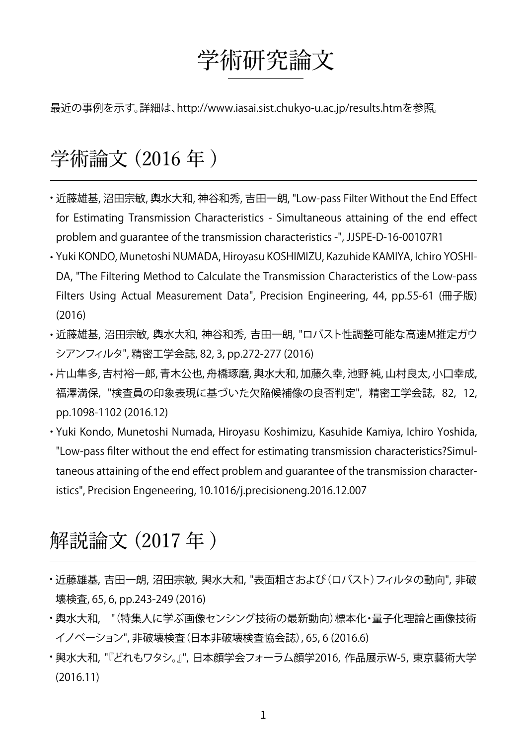## 学術研究論文

最近の事例を示す。詳細は[、http://www.iasai.sist.chukyo-u.ac.jp/results.htmを](http://www.iasai.sist.chukyo-u.ac.jp/results.htm)参照 。

## 学術論文 (2016 年 )

- 近藤雄基, 沼田宗敏, 輿水大和, 神谷和秀, 吉田一朗, "Low-pass Filter Without the End Effect ・ for Estimating Transmission Characteristics - Simultaneous attaining of the end effect problem and guarantee of the transmission characteristics -", JJSPE-D-16-00107R1
- Yuki KONDO, Munetoshi NUMADA, Hiroyasu KOSHIMIZU, Kazuhide KAMIYA, Ichiro YOSHI-・ DA, "The Filtering Method to Calculate the Transmission Characteristics of the Low-pass Filters Using Actual Measurement Data", Precision Engineering, 44, pp.55-61 (冊子版) (2016)
- ・近藤雄基, 沼田宗敏, 輿水大和, 神谷和秀, 吉田一朗, "ロバスト性調整可能な高速M推定ガウ シアンフィルタ", 精密工学会誌, 82, 3, pp.272-277 (2016)
- •片山隼多, 吉村裕一郎, 青木公也, 舟橋琢磨, 輿水大和, 加藤久幸, 池野 純, 山村良太, 小口幸成, 福澤満保, "検査員の印象表現に基づいた欠陥候補像の良否判定", 精密工学会誌, 82, 12, pp.1098-1102 (2016.12)
- Yuki Kondo, Munetoshi Numada, Hiroyasu Koshimizu, Kasuhide Kamiya, Ichiro Yoshida, ・ "Low-pass filter without the end effect for estimating transmission characteristics?Simultaneous attaining of the end effect problem and guarantee of the transmission characteristics", Precision Engeneering, 10.1016/j.precisioneng.2016.12.007

## 解説論文 (2017 年 )

- 近藤雄基, 吉田一朗, 沼田宗敏, 輿水大和, "表面粗さおよび(ロバスト)フィルタの動向", 非破 ・ 壊検査, 65, 6, pp.243-249 (2016)
- ・輿水大和, "(特集人に学ぶ画像センシング技術の最新動向)標本化・量子化理論と画像技術 イノベーション", 非破壊検査(日本非破壊検査協会誌), 65, 6 (2016.6)
- 輿水大和, "『どれもワタシ。』", 日本顔学会フォーラム顔学2016, 作品展示W-5, 東京藝術大学 ・ (2016.11)